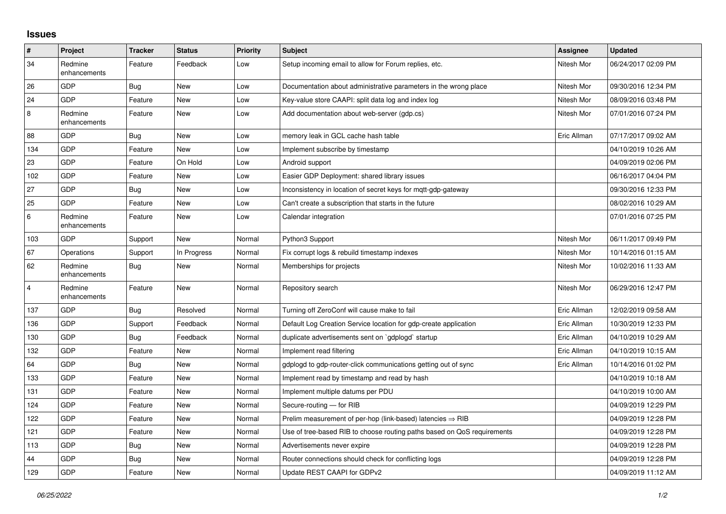## **Issues**

| $\pmb{\#}$              | Project                 | <b>Tracker</b> | <b>Status</b> | <b>Priority</b> | <b>Subject</b>                                                          | Assignee    | <b>Updated</b>      |
|-------------------------|-------------------------|----------------|---------------|-----------------|-------------------------------------------------------------------------|-------------|---------------------|
| 34                      | Redmine<br>enhancements | Feature        | Feedback      | Low             | Setup incoming email to allow for Forum replies, etc.                   | Nitesh Mor  | 06/24/2017 02:09 PM |
| 26                      | <b>GDP</b>              | Bug            | <b>New</b>    | Low             | Documentation about administrative parameters in the wrong place        | Nitesh Mor  | 09/30/2016 12:34 PM |
| 24                      | GDP                     | Feature        | <b>New</b>    | Low             | Key-value store CAAPI: split data log and index log                     | Nitesh Mor  | 08/09/2016 03:48 PM |
| 8                       | Redmine<br>enhancements | Feature        | <b>New</b>    | Low             | Add documentation about web-server (gdp.cs)                             | Nitesh Mor  | 07/01/2016 07:24 PM |
| 88                      | GDP                     | Bug            | <b>New</b>    | Low             | memory leak in GCL cache hash table                                     | Eric Allman | 07/17/2017 09:02 AM |
| 134                     | <b>GDP</b>              | Feature        | <b>New</b>    | Low             | Implement subscribe by timestamp                                        |             | 04/10/2019 10:26 AM |
| 23                      | <b>GDP</b>              | Feature        | On Hold       | Low             | Android support                                                         |             | 04/09/2019 02:06 PM |
| 102                     | GDP                     | Feature        | <b>New</b>    | Low             | Easier GDP Deployment: shared library issues                            |             | 06/16/2017 04:04 PM |
| 27                      | GDP                     | Bug            | <b>New</b>    | Low             | Inconsistency in location of secret keys for mqtt-gdp-gateway           |             | 09/30/2016 12:33 PM |
| 25                      | <b>GDP</b>              | Feature        | <b>New</b>    | Low             | Can't create a subscription that starts in the future                   |             | 08/02/2016 10:29 AM |
| 6                       | Redmine<br>enhancements | Feature        | <b>New</b>    | Low             | Calendar integration                                                    |             | 07/01/2016 07:25 PM |
| 103                     | GDP                     | Support        | <b>New</b>    | Normal          | Python3 Support                                                         | Nitesh Mor  | 06/11/2017 09:49 PM |
| 67                      | Operations              | Support        | In Progress   | Normal          | Fix corrupt logs & rebuild timestamp indexes                            | Nitesh Mor  | 10/14/2016 01:15 AM |
| 62                      | Redmine<br>enhancements | Bug            | <b>New</b>    | Normal          | Memberships for projects                                                | Nitesh Mor  | 10/02/2016 11:33 AM |
| $\overline{\mathbf{4}}$ | Redmine<br>enhancements | Feature        | <b>New</b>    | Normal          | Repository search                                                       | Nitesh Mor  | 06/29/2016 12:47 PM |
| 137                     | GDP                     | Bug            | Resolved      | Normal          | Turning off ZeroConf will cause make to fail                            | Eric Allman | 12/02/2019 09:58 AM |
| 136                     | <b>GDP</b>              | Support        | Feedback      | Normal          | Default Log Creation Service location for gdp-create application        | Eric Allman | 10/30/2019 12:33 PM |
| 130                     | GDP                     | Bug            | Feedback      | Normal          | duplicate advertisements sent on `gdplogd` startup                      | Eric Allman | 04/10/2019 10:29 AM |
| 132                     | GDP                     | Feature        | <b>New</b>    | Normal          | Implement read filtering                                                | Eric Allman | 04/10/2019 10:15 AM |
| 64                      | GDP                     | Bug            | <b>New</b>    | Normal          | gdplogd to gdp-router-click communications getting out of sync          | Eric Allman | 10/14/2016 01:02 PM |
| 133                     | GDP                     | Feature        | <b>New</b>    | Normal          | Implement read by timestamp and read by hash                            |             | 04/10/2019 10:18 AM |
| 131                     | GDP                     | Feature        | <b>New</b>    | Normal          | Implement multiple datums per PDU                                       |             | 04/10/2019 10:00 AM |
| 124                     | GDP                     | Feature        | <b>New</b>    | Normal          | Secure-routing — for RIB                                                |             | 04/09/2019 12:29 PM |
| 122                     | GDP                     | Feature        | <b>New</b>    | Normal          | Prelim measurement of per-hop (link-based) latencies $\Rightarrow$ RIB  |             | 04/09/2019 12:28 PM |
| 121                     | GDP                     | Feature        | New           | Normal          | Use of tree-based RIB to choose routing paths based on QoS requirements |             | 04/09/2019 12:28 PM |
| 113                     | <b>GDP</b>              | Bug            | <b>New</b>    | Normal          | Advertisements never expire                                             |             | 04/09/2019 12:28 PM |
| 44                      | GDP                     | <b>Bug</b>     | <b>New</b>    | Normal          | Router connections should check for conflicting logs                    |             | 04/09/2019 12:28 PM |
| 129                     | GDP                     | Feature        | <b>New</b>    | Normal          | Update REST CAAPI for GDPv2                                             |             | 04/09/2019 11:12 AM |